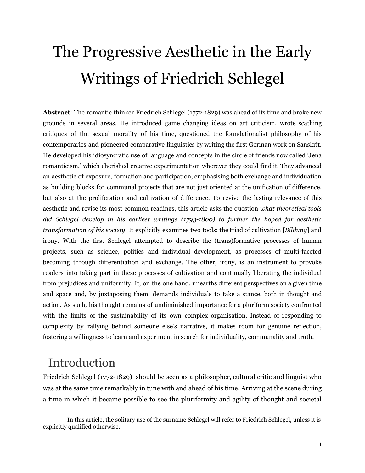# The Progressive Aesthetic in the Early Writings of Friedrich Schlegel

**Abstract**: The romantic thinker Friedrich Schlegel (1772-1829) was ahead of its time and broke new grounds in several areas. He introduced game changing ideas on art criticism, wrote scathing critiques of the sexual morality of his time, questioned the foundationalist philosophy of his contemporaries and pioneered comparative linguistics by writing the first German work on Sanskrit. He developed his idiosyncratic use of language and concepts in the circle of friends now called 'Jena romanticism,' which cherished creative experimentation wherever they could find it. They advanced an aesthetic of exposure, formation and participation, emphasising both exchange and individuation as building blocks for communal projects that are not just oriented at the unification of difference, but also at the proliferation and cultivation of difference. To revive the lasting relevance of this aesthetic and revise its most common readings, this article asks the question *what theoretical tools did Schlegel develop in his earliest writings (1793-1800) to further the hoped for aesthetic transformation of his society*. It explicitly examines two tools: the triad of cultivation [*Bildung*] and irony. With the first Schlegel attempted to describe the (trans)formative processes of human projects, such as science, politics and individual development, as processes of multi-faceted becoming through differentiation and exchange. The other, irony, is an instrument to provoke readers into taking part in these processes of cultivation and continually liberating the individual from prejudices and uniformity. It, on the one hand, unearths different perspectives on a given time and space and, by juxtaposing them, demands individuals to take a stance, both in thought and action. As such, his thought remains of undiminished importance for a pluriform society confronted with the limits of the sustainability of its own complex organisation. Instead of responding to complexity by rallying behind someone else's narrative, it makes room for genuine reflection, fostering a willingness to learn and experiment in search for individuality, communality and truth.

### Introduction

Friedrich Schlegel (1772-1829)<sup>1</sup> should be seen as a philosopher, cultural critic and linguist who was at the same time remarkably in tune with and ahead of his time. Arriving at the scene during a time in which it became possible to see the pluriformity and agility of thought and societal

<sup>1</sup> In this article, the solitary use of the surname Schlegel will refer to Friedrich Schlegel, unless it is explicitly qualified otherwise.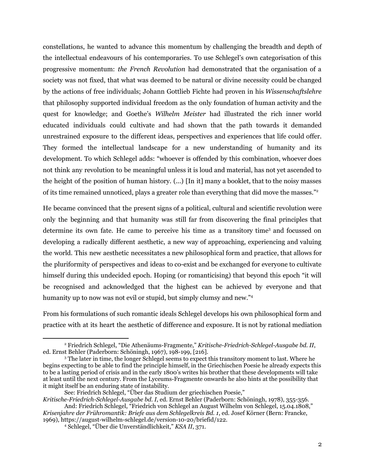constellations, he wanted to advance this momentum by challenging the breadth and depth of the intellectual endeavours of his contemporaries. To use Schlegel's own categorisation of this progressive momentum: *the French Revolution* had demonstrated that the organisation of a society was not fixed, that what was deemed to be natural or divine necessity could be changed by the actions of free individuals; Johann Gottlieb Fichte had proven in his *Wissenschaftslehre* that philosophy supported individual freedom as the only foundation of human activity and the quest for knowledge; and Goethe's *Wilhelm Meister* had illustrated the rich inner world educated individuals could cultivate and had shown that the path towards it demanded unrestrained exposure to the different ideas, perspectives and experiences that life could offer. They formed the intellectual landscape for a new understanding of humanity and its development. To which Schlegel adds: "whoever is offended by this combination, whoever does not think any revolution to be meaningful unless it is loud and material, has not yet ascended to the height of the position of human history. (...) [In it] many a booklet, that to the noisy masses of its time remained unnoticed, plays a greater role than everything that did move the masses." 2

He became convinced that the present signs of a political, cultural and scientific revolution were only the beginning and that humanity was still far from discovering the final principles that determine its own fate. He came to perceive his time as a transitory time <sup>3</sup> and focussed on developing a radically different aesthetic, a new way of approaching, experiencing and valuing the world. This new aesthetic necessitates a new philosophical form and practice, that allows for the pluriformity of perspectives and ideas to co-exist and be exchanged for everyone to cultivate himself during this undecided epoch. Hoping (or romanticising) that beyond this epoch "it will be recognised and acknowledged that the highest can be achieved by everyone and that humanity up to now was not evil or stupid, but simply clumsy and new."<sup>4</sup>

From his formulations of such romantic ideals Schlegel develops his own philosophical form and practice with at its heart the aesthetic of difference and exposure. It is not by rational mediation

<sup>2</sup> Friedrich Schlegel, "Die Athenäums-Fragmente," *Kritische-Friedrich-Schlegel-Ausgabe bd. II*, ed. Ernst Behler (Paderborn: Schöningh, 1967), 198-199, [216].

<sup>3</sup> The later in time, the longer Schlegel seems to expect this transitory moment to last. Where he begins expecting to be able to find the principle himself, in the Griechischen Poesie he already expects this to be a lasting period of crisis and in the early 1800's writes his brother that these developments will take at least until the next century. From the Lyceums-Fragmente onwards he also hints at the possibility that it might itself be an enduring state of instability.

See: Friedrich Schlegel, "Über das Studium der griechischen Poesie,"

*Kritische-Friedrich-Schlegel-Ausgabe bd. I*, ed. Ernst Behler (Paderborn: Schöningh, 1978), 355-356. And: Friedrich Schlegel, "Friedrich von Schlegel an August Wilhelm von Schlegel, 15.04.1808," *Krisenjahre der Frühromantik: Briefe aus dem Schlegelkreis Bd. 1*, ed. Josef Körner (Bern: Francke,

<sup>1969),</sup> https://august-wilhelm-schlegel.de/version-10-20/briefid/122.

<sup>4</sup> Schlegel, "Über die Unverständlichkeit," *KSA II*, 371.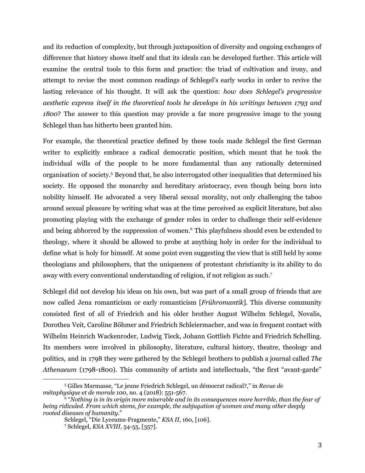and its reduction of complexity, but through juxtaposition of diversity and ongoing exchanges of difference that history shows itself and that its ideals can be developed further. This article will examine the central tools to this form and practice: the triad of cultivation and irony, and attempt to revise the most common readings of Schlegel's early works in order to revive the lasting relevance of his thought. It will ask the question: *how does Schlegel's progressive aesthetic express itself in the theoretical tools he develops in his writings between 1793 and 1800*? The answer to this question may provide a far more progressive image to the young Schlegel than has hitherto been granted him.

For example, the theoretical practice defined by these tools made Schlegel the first German writer to explicitly embrace a radical democratic position, which meant that he took the individual wills of the people to be more fundamental than any rationally determined organisation of society. <sup>5</sup> Beyond that, he also interrogated other inequalities that determined his society. He opposed the monarchy and hereditary aristocracy, even though being born into nobility himself. He advocated a very liberal sexual morality, not only challenging the taboo around sexual pleasure by writing what was at the time perceived as explicit literature, but also promoting playing with the exchange of gender roles in order to challenge their self-evidence and being abhorred by the suppression of women. <sup>6</sup> This playfulness should even be extended to theology, where it should be allowed to probe at anything holy in order for the individual to define what is holy for himself. At some point even suggesting the view that is still held by some theologians and philosophers, that the uniqueness of protestant christianity is its ability to do away with every conventional understanding of religion, if not religion as such. 7

Schlegel did not develop his ideas on his own, but was part of a small group of friends that are now called Jena romanticism or early romanticism [*Frühromantik*]. This diverse community consisted first of all of Friedrich and his older brother August Wilhelm Schlegel, Novalis, Dorothea Veit, Caroline Böhmer and Friedrich Schleiermacher, and was in frequent contact with Wilhelm Heinrich Wackenroder, Ludwig Tieck, Johann Gottlieb Fichte and Friedrich Schelling. Its members were involved in philosophy, literature, cultural history, theatre, theology and politics, and in 1798 they were gathered by the Schlegel brothers to publish a journal called *The Athenaeum* (1798-1800). This community of artists and intellectuals, "the first "avant-garde"

<sup>5</sup> Gilles Marmasse, "Le jeune Friedrich Schlegel, un démocrat radical?," in *Revue de métaphysique et de morale* 100, no. 4 (2018): 551-567.

<sup>6</sup> "*Nothing is in its origin more miserable and in its consequences more horrible, than the fear of being ridiculed. From which stems, for example, the subjugation of women and many other deeply rooted diseases of humanity.*"

Schlegel, "Die Lyceums-Fragmente," *KSA II*, 160, [106].

<sup>7</sup> Schlegel, *KSA XVIII*, 54-55, [357].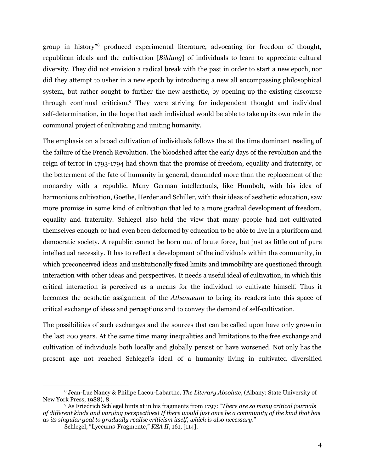group in history" <sup>8</sup> produced experimental literature, advocating for freedom of thought, republican ideals and the cultivation [*Bildung*] of individuals to learn to appreciate cultural diversity. They did not envision a radical break with the past in order to start a new epoch, nor did they attempt to usher in a new epoch by introducing a new all encompassing philosophical system, but rather sought to further the new aesthetic, by opening up the existing discourse through continual criticism. <sup>9</sup> They were striving for independent thought and individual self-determination, in the hope that each individual would be able to take up its own role in the communal project of cultivating and uniting humanity.

The emphasis on a broad cultivation of individuals follows the at the time dominant reading of the failure of the French Revolution. The bloodshed after the early days of the revolution and the reign of terror in 1793-1794 had shown that the promise of freedom, equality and fraternity, or the betterment of the fate of humanity in general, demanded more than the replacement of the monarchy with a republic. Many German intellectuals, like Humbolt, with his idea of harmonious cultivation, Goethe, Herder and Schiller, with their ideas of aesthetic education, saw more promise in some kind of cultivation that led to a more gradual development of freedom, equality and fraternity. Schlegel also held the view that many people had not cultivated themselves enough or had even been deformed by education to be able to live in a pluriform and democratic society. A republic cannot be born out of brute force, but just as little out of pure intellectual necessity. It has to reflect a development of the individuals within the community, in which preconceived ideas and institutionally fixed limits and immobility are questioned through interaction with other ideas and perspectives. It needs a useful ideal of cultivation, in which this critical interaction is perceived as a means for the individual to cultivate himself. Thus it becomes the aesthetic assignment of the *Athenaeum* to bring its readers into this space of critical exchange of ideas and perceptions and to convey the demand of self-cultivation.

The possibilities of such exchanges and the sources that can be called upon have only grown in the last 200 years. At the same time many inequalities and limitations to the free exchange and cultivation of individuals both locally and globally persist or have worsened. Not only has the present age not reached Schlegel's ideal of a humanity living in cultivated diversified

<sup>8</sup> Jean-Luc Nancy & Philipe Lacou-Labarthe, *The Literary Absolute*, (Albany: State University of New York Press, 1988), 8.

<sup>9</sup> As Friedrich Schlegel hints at in his fragments from 1797: "*There are so many critical journals* of different kinds and varying perspectives! If there would just once be a community of the kind that has *as its singular goal to gradually realise criticism itself, which is also necessary.*"

Schlegel, "Lyceums-Fragmente," *KSA II*, 161, [114].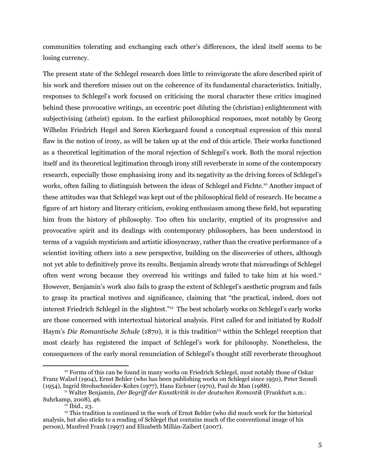communities tolerating and exchanging each other's differences, the ideal itself seems to be losing currency.

The present state of the Schlegel research does little to reinvigorate the afore described spirit of his work and therefore misses out on the coherence of its fundamental characteristics. Initially, responses to Schlegel's work focused on criticising the moral character these critics imagined behind these provocative writings, an eccentric poet diluting the (christian) enlightenment with subjectivising (atheist) egoism. In the earliest philosophical responses, most notably by Georg Wilhelm Friedrich Hegel and Søren Kierkegaard found a conceptual expression of this moral flaw in the notion of irony, as will be taken up at the end of this article. Their works functioned as a theoretical legitimation of the moral rejection of Schlegel's work. Both the moral rejection itself and its theoretical legitimation through irony still reverberate in some of the contemporary research, especially those emphasising irony and its negativity as the driving forces of Schlegel's works, often failing to distinguish between the ideas of Schlegel and Fichte. <sup>10</sup> Another impact of these attitudes was that Schlegel was kept out of the philosophical field of research. He became a figure of art history and literary criticism, evoking enthusiasm among these field, but separating him from the history of philosophy. Too often his unclarity, emptied of its progressive and provocative spirit and its dealings with contemporary philosophers, has been understood in terms of a vaguish mysticism and artistic idiosyncrasy, rather than the creative performance of a scientist inviting others into a new perspective, building on the discoveries of others, although not yet able to definitively prove its results. Benjamin already wrote that misreadings of Schlegel often went wrong because they overread his writings and failed to take him at his word.<sup>11</sup> However, Benjamin's work also fails to grasp the extent of Schlegel's aesthetic program and fails to grasp its practical motives and significance, claiming that "the practical, indeed, does not interest Friedrich Schlegel in the slightest." <sup>12</sup> The best scholarly works on Schlegel's early works are those concerned with intertextual historical analysis. First called for and initiated by Rudolf Haym's *Die Romantische Schule* (1870), it is this tradition <sup>13</sup> within the Schlegel reception that most clearly has registered the impact of Schlegel's work for philosophy. Nonetheless, the consequences of the early moral renunciation of Schlegel's thought still reverberate throughout

<sup>10</sup> Forms of this can be found in many works on Friedrich Schlegel, most notably those of Oskar Franz Walzel (1904), Ernst Behler (who has been publishing works on Schlegel since 1950), Peter Szondi (1954), Ingrid Strohschneider-Kohrs (1977), Hans Eichner (1970), Paul de Man (1988).

<sup>11</sup> Walter Benjamin, *Der Begrif der Kunstkritik in der deutschen Romantik* (Frankfurt a.m.: Suhrkamp, 2008), 46.

 $12$  Ibid., 23.

<sup>&</sup>lt;sup>13</sup> This tradition is continued in the work of Ernst Behler (who did much work for the historical analysis, but also sticks to a reading of Schlegel that contains much of the conventional image of his person), Manfred Frank (1997) and Elizabeth Millán-Zaibert (2007).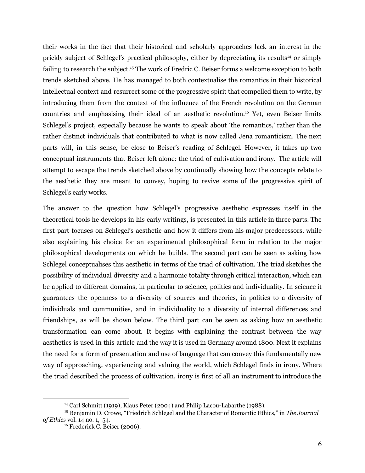their works in the fact that their historical and scholarly approaches lack an interest in the prickly subject of Schlegel's practical philosophy, either by depreciating its results <sup>14</sup> or simply failing to research the subject.<sup>15</sup> The work of Fredric C. Beiser forms a welcome exception to both trends sketched above. He has managed to both contextualise the romantics in their historical intellectual context and resurrect some of the progressive spirit that compelled them to write, by introducing them from the context of the influence of the French revolution on the German countries and emphasising their ideal of an aesthetic revolution. <sup>16</sup> Yet, even Beiser limits Schlegel's project, especially because he wants to speak about 'the romantics,' rather than the rather distinct individuals that contributed to what is now called Jena romanticism. The next parts will, in this sense, be close to Beiser's reading of Schlegel. However, it takes up two conceptual instruments that Beiser left alone: the triad of cultivation and irony. The article will attempt to escape the trends sketched above by continually showing how the concepts relate to the aesthetic they are meant to convey, hoping to revive some of the progressive spirit of Schlegel's early works.

The answer to the question how Schlegel's progressive aesthetic expresses itself in the theoretical tools he develops in his early writings, is presented in this article in three parts. The first part focuses on Schlegel's aesthetic and how it differs from his major predecessors, while also explaining his choice for an experimental philosophical form in relation to the major philosophical developments on which he builds. The second part can be seen as asking how Schlegel conceptualises this aesthetic in terms of the triad of cultivation. The triad sketches the possibility of individual diversity and a harmonic totality through critical interaction, which can be applied to different domains, in particular to science, politics and individuality. In science it guarantees the openness to a diversity of sources and theories, in politics to a diversity of individuals and communities, and in individuality to a diversity of internal differences and friendships, as will be shown below. The third part can be seen as asking how an aesthetic transformation can come about. It begins with explaining the contrast between the way aesthetics is used in this article and the way it is used in Germany around 1800. Next it explains the need for a form of presentation and use of language that can convey this fundamentally new way of approaching, experiencing and valuing the world, which Schlegel finds in irony. Where the triad described the process of cultivation, irony is first of all an instrument to introduce the

<sup>&</sup>lt;sup>14</sup> Carl Schmitt (1919), Klaus Peter (2004) and Philip Lacou-Labarthe (1988).

<sup>15</sup> Benjamin D. Crowe, "Friedrich Schlegel and the Character of Romantic Ethics," in *The Journal of Ethics* vol. 14 no. 1, 54.

<sup>&</sup>lt;sup>16</sup> Frederick C. Beiser (2006).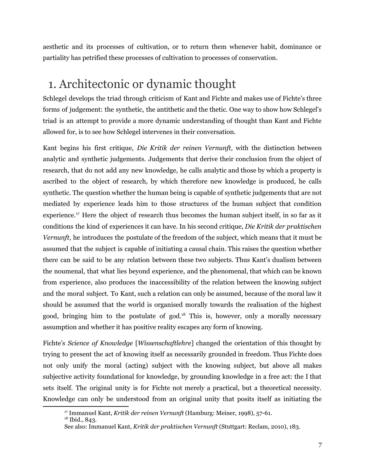aesthetic and its processes of cultivation, or to return them whenever habit, dominance or partiality has petrified these processes of cultivation to processes of conservation.

### 1. Architectonic or dynamic thought

Schlegel develops the triad through criticism of Kant and Fichte and makes use of Fichte's three forms of judgement: the synthetic, the antithetic and the thetic. One way to show how Schlegel's triad is an attempt to provide a more dynamic understanding of thought than Kant and Fichte allowed for, is to see how Schlegel intervenes in their conversation.

Kant begins his first critique, *Die Kritik der reinen Vernunft*, with the distinction between analytic and synthetic judgements. Judgements that derive their conclusion from the object of research, that do not add any new knowledge, he calls analytic and those by which a property is ascribed to the object of research, by which therefore new knowledge is produced, he calls synthetic. The question whether the human being is capable of synthetic judgements that are not mediated by experience leads him to those structures of the human subject that condition experience.<sup>17</sup> Here the object of research thus becomes the human subject itself, in so far as it conditions the kind of experiences it can have. In his second critique, *Die Kritik der praktischen Vernunft*, he introduces the postulate of the freedom of the subject, which means that it must be assumed that the subject is capable of initiating a causal chain. This raises the question whether there can be said to be any relation between these two subjects. Thus Kant's dualism between the noumenal, that what lies beyond experience, and the phenomenal, that which can be known from experience, also produces the inaccessibility of the relation between the knowing subject and the moral subject. To Kant, such a relation can only be assumed, because of the moral law it should be assumed that the world is organised morally towards the realisation of the highest good, bringing him to the postulate of god. <sup>18</sup> This is, however, only a morally necessary assumption and whether it has positive reality escapes any form of knowing.

Fichte's *Science of Knowledge* [*Wissenschaftlehre*] changed the orientation of this thought by trying to present the act of knowing itself as necessarily grounded in freedom. Thus Fichte does not only unify the moral (acting) subject with the knowing subject, but above all makes subjective activity foundational for knowledge, by grounding knowledge in a free act: the I that sets itself. The original unity is for Fichte not merely a practical, but a theoretical necessity. Knowledge can only be understood from an original unity that posits itself as initiating the

<sup>17</sup> Immanuel Kant, *Kritik der reinen Vernunft* (Hamburg: Meiner, 1998), 57-61.

<sup>&</sup>lt;sup>18</sup> Ibid., 843.

See also: Immanuel Kant, *Kritik der praktischen Vernunft* (Stuttgart: Reclam, 2010), 183.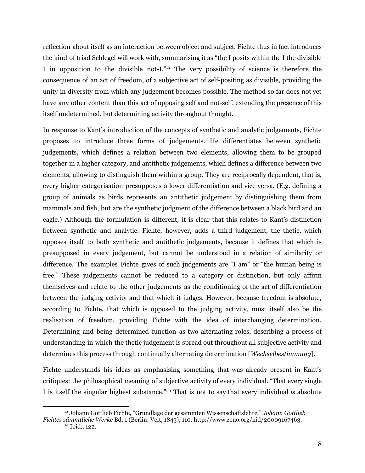reflection about itself as an interaction between object and subject. Fichte thus in fact introduces the kind of triad Schlegel will work with, summarising it as "the I posits within the I the divisible I in opposition to the divisible not-I."<sup>19</sup> The very possibility of science is therefore the consequence of an act of freedom, of a subjective act of self-positing as divisible, providing the unity in diversity from which any judgement becomes possible. The method so far does not yet have any other content than this act of opposing self and not-self, extending the presence of this itself undetermined, but determining activity throughout thought.

In response to Kant's introduction of the concepts of synthetic and analytic judgements, Fichte proposes to introduce three forms of judgements. He differentiates between synthetic judgements, which defines a relation between two elements, allowing them to be grouped together in a higher category, and antithetic judgements, which defines a difference between two elements, allowing to distinguish them within a group. They are reciprocally dependent, that is, every higher categorisation presupposes a lower differentiation and vice versa. (E.g. defining a group of animals as birds represents an antithetic judgement by distinguishing them from mammals and fish, but are the synthetic judgment of the difference between a black bird and an eagle.) Although the formulation is different, it is clear that this relates to Kant's distinction between synthetic and analytic. Fichte, however, adds a third judgement, the thetic, which opposes itself to both synthetic and antithetic judgements, because it defines that which is presupposed in every judgement, but cannot be understood in a relation of similarity or difference. The examples Fichte gives of such judgements are "I am" or "the human being is free." These judgements cannot be reduced to a category or distinction, but only affirm themselves and relate to the other judgements as the conditioning of the act of differentiation between the judging activity and that which it judges. However, because freedom is absolute, according to Fichte, that which is opposed to the judging activity, must itself also be the realisation of freedom, providing Fichte with the idea of interchanging determination. Determining and being determined function as two alternating roles, describing a process of understanding in which the thetic judgement is spread out throughout all subjective activity and determines this process through continually alternating determination [*Wechselbestimmung*].

Fichte understands his ideas as emphasising something that was already present in Kant's critiques: the philosophical meaning of subjective activity of every individual. "That every single I is itself the singular highest substance." <sup>20</sup> That is not to say that every individual *is* absolute

<sup>20</sup> Ibid., 122. <sup>19</sup> Johann Gottlieb Fichte, "Grundlage der gesammten Wissenschaftslehre," *Johann Gottlieb Fichtes sämmtliche Werke* Bd. 1 (Berlin: Veit, 1845), 110. http://www.zeno.org/nid/20009167463.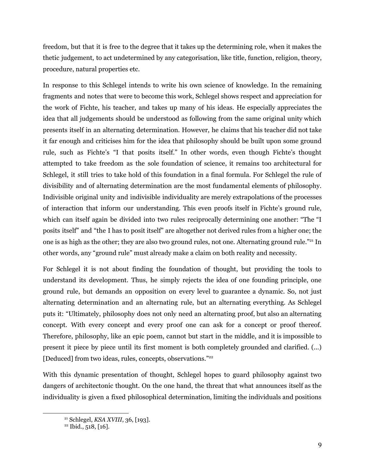freedom, but that it is free to the degree that it takes up the determining role, when it makes the thetic judgement, to act undetermined by any categorisation, like title, function, religion, theory, procedure, natural properties etc.

In response to this Schlegel intends to write his own science of knowledge. In the remaining fragments and notes that were to become this work, Schlegel shows respect and appreciation for the work of Fichte, his teacher, and takes up many of his ideas. He especially appreciates the idea that all judgements should be understood as following from the same original unity which presents itself in an alternating determination. However, he claims that his teacher did not take it far enough and criticises him for the idea that philosophy should be built upon some ground rule, such as Fichte's "I that posits itself." In other words, even though Fichte's thought attempted to take freedom as the sole foundation of science, it remains too architectural for Schlegel, it still tries to take hold of this foundation in a final formula. For Schlegel the rule of divisibility and of alternating determination are the most fundamental elements of philosophy. Indivisible original unity and indivisible individuality are merely extrapolations of the processes of interaction that inform our understanding. This even proofs itself in Fichte's ground rule, which can itself again be divided into two rules reciprocally determining one another: "The "I posits itself" and "the I has to posit itself" are altogether not derived rules from a higher one; the one is as high as the other; they are also two ground rules, not one. Alternating ground rule."<sup>21</sup> In other words, any "ground rule" must already make a claim on both reality and necessity.

For Schlegel it is not about finding the foundation of thought, but providing the tools to understand its development. Thus, he simply rejects the idea of one founding principle, one ground rule, but demands an opposition on every level to guarantee a dynamic. So, not just alternating determination and an alternating rule, but an alternating everything. As Schlegel puts it: "Ultimately, philosophy does not only need an alternating proof, but also an alternating concept. With every concept and every proof one can ask for a concept or proof thereof. Therefore, philosophy, like an epic poem, cannot but start in the middle, and it is impossible to present it piece by piece until its first moment is both completely grounded and clarified. (...) [Deduced] from two ideas, rules, concepts, observations." 22

With this dynamic presentation of thought, Schlegel hopes to guard philosophy against two dangers of architectonic thought. On the one hand, the threat that what announces itself as the individuality is given a fixed philosophical determination, limiting the individuals and positions

<sup>21</sup> Schlegel, *KSA XVIII*, 36, [193].

 $22$  Ibid., 518, [16].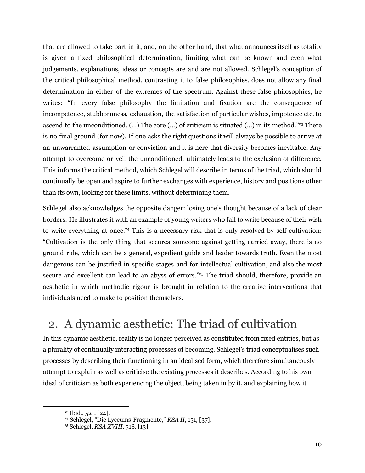that are allowed to take part in it, and, on the other hand, that what announces itself as totality is given a fixed philosophical determination, limiting what can be known and even what judgements, explanations, ideas or concepts are and are not allowed. Schlegel's conception of the critical philosophical method, contrasting it to false philosophies, does not allow any final determination in either of the extremes of the spectrum. Against these false philosophies, he writes: "In every false philosophy the limitation and fixation are the consequence of incompetence, stubbornness, exhaustion, the satisfaction of particular wishes, impotence etc. to ascend to the unconditioned. (...) The core (...) of criticism is situated (...) in its method." <sup>23</sup> There is no final ground (for now). If one asks the right questions it will always be possible to arrive at an unwarranted assumption or conviction and it is here that diversity becomes inevitable. Any attempt to overcome or veil the unconditioned, ultimately leads to the exclusion of difference. This informs the critical method, which Schlegel will describe in terms of the triad, which should continually be open and aspire to further exchanges with experience, history and positions other than its own, looking for these limits, without determining them.

Schlegel also acknowledges the opposite danger: losing one's thought because of a lack of clear borders. He illustrates it with an example of young writers who fail to write because of their wish to write everything at once. <sup>24</sup> This is a necessary risk that is only resolved by self-cultivation: "Cultivation is the only thing that secures someone against getting carried away, there is no ground rule, which can be a general, expedient guide and leader towards truth. Even the most dangerous can be justified in specific stages and for intellectual cultivation, and also the most secure and excellent can lead to an abyss of errors."<sup>25</sup> The triad should, therefore, provide an aesthetic in which methodic rigour is brought in relation to the creative interventions that individuals need to make to position themselves.

# 2. A dynamic aesthetic: The triad of cultivation

In this dynamic aesthetic, reality is no longer perceived as constituted from fixed entities, but as a plurality of continually interacting processes of becoming. Schlegel's triad conceptualises such processes by describing their functioning in an idealised form, which therefore simultaneously attempt to explain as well as criticise the existing processes it describes. According to his own ideal of criticism as both experiencing the object, being taken in by it, and explaining how it

 $23$  Ibid., 521, [24].

<sup>24</sup> Schlegel, "Die Lyceums-Fragmente," *KSA II*, 151, [37].

<sup>25</sup> Schlegel, *KSA XVIII*, 518, [13].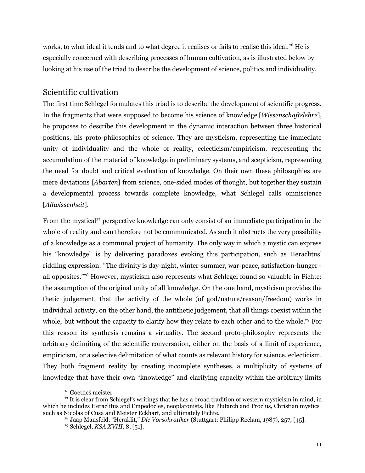works, to what ideal it tends and to what degree it realises or fails to realise this ideal. <sup>26</sup> He is especially concerned with describing processes of human cultivation, as is illustrated below by looking at his use of the triad to describe the development of science, politics and individuality.

#### Scientific cultivation

The first time Schlegel formulates this triad is to describe the development of scientific progress. In the fragments that were supposed to become his science of knowledge [*Wissenschaftslehre*], he proposes to describe this development in the dynamic interaction between three historical positions, his proto-philosophies of science. They are mysticism, representing the immediate unity of individuality and the whole of reality, eclecticism/empiricism, representing the accumulation of the material of knowledge in preliminary systems, and scepticism, representing the need for doubt and critical evaluation of knowledge. On their own these philosophies are mere deviations [*Abarten*] from science, one-sided modes of thought, but together they sustain a developmental process towards complete knowledge, what Schlegel calls omniscience [*Allwissenheit*].

From the mystical<sup>27</sup> perspective knowledge can only consist of an immediate participation in the whole of reality and can therefore not be communicated. As such it obstructs the very possibility of a knowledge as a communal project of humanity. The only way in which a mystic can express his "knowledge" is by delivering paradoxes evoking this participation, such as Heraclitus' riddling expression: "The divinity is day-night, winter-summer, war-peace, satisfaction-hunger all opposites." <sup>28</sup> However, mysticism also represents what Schlegel found so valuable in Fichte: the assumption of the original unity of all knowledge. On the one hand, mysticism provides the thetic judgement, that the activity of the whole (of god/nature/reason/freedom) works in individual activity, on the other hand, the antithetic judgement, that all things coexist within the whole, but without the capacity to clarify how they relate to each other and to the whole.<sup>29</sup> For this reason its synthesis remains a virtuality. The second proto-philosophy represents the arbitrary delimiting of the scientific conversation, either on the basis of a limit of experience, empiricism, or a selective delimitation of what counts as relevant history for science, eclecticism. They both fragment reality by creating incomplete syntheses, a multiplicity of systems of knowledge that have their own "knowledge" and clarifying capacity within the arbitrary limits

<sup>26</sup> Goetheś meister

 $27$  It is clear from Schlegel's writings that he has a broad tradition of western mysticism in mind, in which he includes Heraclitus and Empedocles, neoplatonists, like Plutarch and Proclus, Christian mystics such as Nicolas of Cusa and Meister Eckhart, and ultimately Fichte.

<sup>29</sup> Schlegel, *KSA XVIII*, 8, [51]. <sup>28</sup> Jaap Mansfeld, "Heraklit," *Die Vorsokratiker* (Stuttgart: Philipp Reclam, 1987), 257, [45].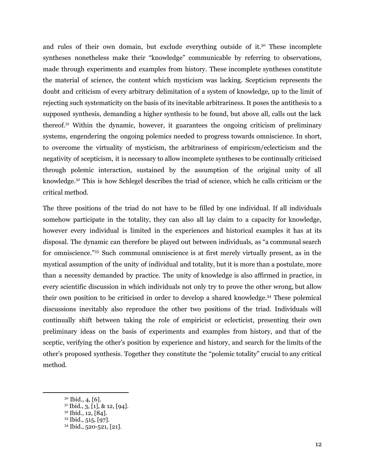and rules of their own domain, but exclude everything outside of it. <sup>30</sup> These incomplete syntheses nonetheless make their "knowledge" communicable by referring to observations, made through experiments and examples from history. These incomplete syntheses constitute the material of science, the content which mysticism was lacking. Scepticism represents the doubt and criticism of every arbitrary delimitation of a system of knowledge, up to the limit of rejecting such systematicity on the basis of its inevitable arbitrariness. It poses the antithesis to a supposed synthesis, demanding a higher synthesis to be found, but above all, calls out the lack thereof. <sup>31</sup> Within the dynamic, however, it guarantees the ongoing criticism of preliminary systems, engendering the ongoing polemics needed to progress towards omniscience. In short, to overcome the virtuality of mysticism, the arbitrariness of empiricsm/eclecticism and the negativity of scepticism, it is necessary to allow incomplete syntheses to be continually criticised through polemic interaction, sustained by the assumption of the original unity of all knowledge. <sup>32</sup> This is how Schlegel describes the triad of science, which he calls criticism or the critical method.

The three positions of the triad do not have to be filled by one individual. If all individuals somehow participate in the totality, they can also all lay claim to a capacity for knowledge, however every individual is limited in the experiences and historical examples it has at its disposal. The dynamic can therefore be played out between individuals, as "a communal search for omniscience."<sup>33</sup> Such communal omniscience is at first merely virtually present, as in the mystical assumption of the unity of individual and totality, but it is more than a postulate, more than a necessity demanded by practice. The unity of knowledge is also affirmed in practice, in every scientific discussion in which individuals not only try to prove the other wrong, but allow their own position to be criticised in order to develop a shared knowledge. <sup>34</sup> These polemical discussions inevitably also reproduce the other two positions of the triad. Individuals will continually shift between taking the role of empiricist or eclecticist, presenting their own preliminary ideas on the basis of experiments and examples from history, and that of the sceptic, verifying the other's position by experience and history, and search for the limits of the other's proposed synthesis. Together they constitute the "polemic totality" crucial to any critical method.

 $30$  Ibid., 4, [6].

<sup>31</sup> Ibid., 3, [1], & 12, [94].

<sup>32</sup> Ibid., 12, [84].

<sup>33</sup> Ibid., 515, [97].

<sup>34</sup> Ibid., 520-521, [21].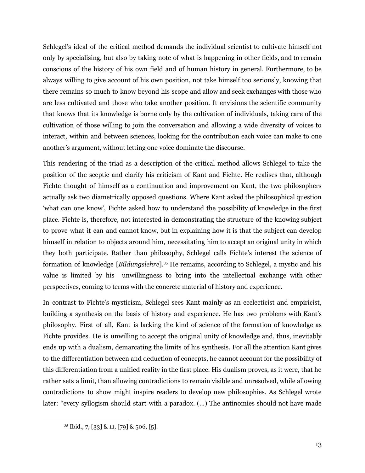Schlegel's ideal of the critical method demands the individual scientist to cultivate himself not only by specialising, but also by taking note of what is happening in other fields, and to remain conscious of the history of his own field and of human history in general. Furthermore, to be always willing to give account of his own position, not take himself too seriously, knowing that there remains so much to know beyond his scope and allow and seek exchanges with those who are less cultivated and those who take another position. It envisions the scientific community that knows that its knowledge is borne only by the cultivation of individuals, taking care of the cultivation of those willing to join the conversation and allowing a wide diversity of voices to interact, within and between sciences, looking for the contribution each voice can make to one another's argument, without letting one voice dominate the discourse.

This rendering of the triad as a description of the critical method allows Schlegel to take the position of the sceptic and clarify his criticism of Kant and Fichte. He realises that, although Fichte thought of himself as a continuation and improvement on Kant, the two philosophers actually ask two diametrically opposed questions. Where Kant asked the philosophical question 'what can one know', Fichte asked how to understand the possibility of knowledge in the first place. Fichte is, therefore, not interested in demonstrating the structure of the knowing subject to prove what it can and cannot know, but in explaining how it is that the subject can develop himself in relation to objects around him, necessitating him to accept an original unity in which they both participate. Rather than philosophy, Schlegel calls Fichte's interest the science of formation of knowledge [*Bildungslehre*]. <sup>35</sup> He remains, according to Schlegel, a mystic and his value is limited by his unwillingness to bring into the intellectual exchange with other perspectives, coming to terms with the concrete material of history and experience.

In contrast to Fichte's mysticism, Schlegel sees Kant mainly as an ecclecticist and empiricist, building a synthesis on the basis of history and experience. He has two problems with Kant's philosophy. First of all, Kant is lacking the kind of science of the formation of knowledge as Fichte provides. He is unwilling to accept the original unity of knowledge and, thus, inevitably ends up with a dualism, demarcating the limits of his synthesis. For all the attention Kant gives to the differentiation between and deduction of concepts, he cannot account for the possibility of this differentiation from a unified reality in the first place. His dualism proves, as it were, that he rather sets a limit, than allowing contradictions to remain visible and unresolved, while allowing contradictions to show might inspire readers to develop new philosophies. As Schlegel wrote later: "every syllogism should start with a paradox. (...) The antinomies should not have made

 $35$  Ibid., 7, [33] & 11, [79] & 506, [5].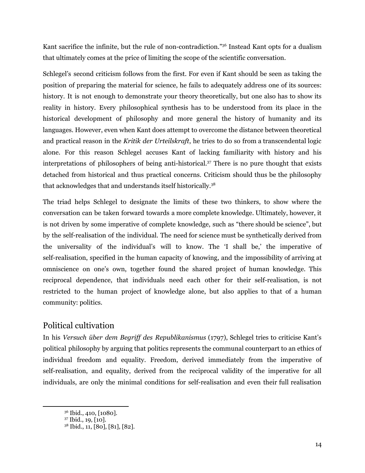Kant sacrifice the infinite, but the rule of non-contradiction." <sup>36</sup> Instead Kant opts for a dualism that ultimately comes at the price of limiting the scope of the scientific conversation.

Schlegel's second criticism follows from the first. For even if Kant should be seen as taking the position of preparing the material for science, he fails to adequately address one of its sources: history. It is not enough to demonstrate your theory theoretically, but one also has to show its reality in history. Every philosophical synthesis has to be understood from its place in the historical development of philosophy and more general the history of humanity and its languages. However, even when Kant does attempt to overcome the distance between theoretical and practical reason in the *Kritik der Urteilskraft*, he tries to do so from a transcendental logic alone. For this reason Schlegel accuses Kant of lacking familiarity with history and his interpretations of philosophers of being anti-historical. <sup>37</sup> There is no pure thought that exists detached from historical and thus practical concerns. Criticism should thus be the philosophy that acknowledges that and understands itself historically. 38

The triad helps Schlegel to designate the limits of these two thinkers, to show where the conversation can be taken forward towards a more complete knowledge. Ultimately, however, it is not driven by some imperative of complete knowledge, such as "there should be science", but by the self-realisation of the individual. The need for science must be synthetically derived from the universality of the individual's will to know. The 'I shall be,' the imperative of self-realisation, specified in the human capacity of knowing, and the impossibility of arriving at omniscience on one's own, together found the shared project of human knowledge. This reciprocal dependence, that individuals need each other for their self-realisation, is not restricted to the human project of knowledge alone, but also applies to that of a human community: politics.

### Political cultivation

In his *Versuch über dem Begrif des Republikanismus* (1797), Schlegel tries to criticise Kant's political philosophy by arguing that politics represents the communal counterpart to an ethics of individual freedom and equality. Freedom, derived immediately from the imperative of self-realisation, and equality, derived from the reciprocal validity of the imperative for all individuals, are only the minimal conditions for self-realisation and even their full realisation

<sup>36</sup> Ibid., 410, [1080].

<sup>37</sup> Ibid., 19, [10].

<sup>38</sup> Ibid., 11, [80], [81], [82].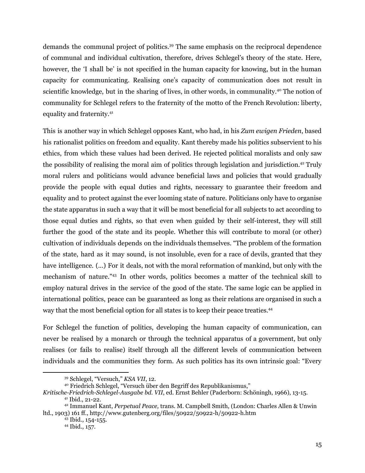demands the communal project of politics. <sup>39</sup> The same emphasis on the reciprocal dependence of communal and individual cultivation, therefore, drives Schlegel's theory of the state. Here, however, the 'I shall be' is not specified in the human capacity for knowing, but in the human capacity for communicating. Realising one's capacity of communication does not result in scientific knowledge, but in the sharing of lives, in other words, in communality.<sup>40</sup> The notion of communality for Schlegel refers to the fraternity of the motto of the French Revolution: liberty, equality and fraternity. 41

This is another way in which Schlegel opposes Kant, who had, in his *Zum ewigen Frieden*, based his rationalist politics on freedom and equality. Kant thereby made his politics subservient to his ethics, from which these values had been derived. He rejected political moralists and only saw the possibility of realising the moral aim of politics through legislation and jurisdiction. <sup>42</sup> Truly moral rulers and politicians would advance beneficial laws and policies that would gradually provide the people with equal duties and rights, necessary to guarantee their freedom and equality and to protect against the ever looming state of nature. Politicians only have to organise the state apparatus in such a way that it will be most beneficial for all subjects to act according to those equal duties and rights, so that even when guided by their self-interest, they will still further the good of the state and its people. Whether this will contribute to moral (or other) cultivation of individuals depends on the individuals themselves. "The problem of the formation of the state, hard as it may sound, is not insoluble, even for a race of devils, granted that they have intelligence. (...) For it deals, not with the moral reformation of mankind, but only with the mechanism of nature." <sup>43</sup> In other words, politics becomes a matter of the technical skill to employ natural drives in the service of the good of the state. The same logic can be applied in international politics, peace can be guaranteed as long as their relations are organised in such a way that the most beneficial option for all states is to keep their peace treaties. 44

For Schlegel the function of politics, developing the human capacity of communication, can never be realised by a monarch or through the technical apparatus of a government, but only realises (or fails to realise) itself through all the different levels of communication between individuals and the communities they form. As such politics has its own intrinsic goal: "Every

<sup>39</sup> Schlegel, "Versuch," *KSA VII*, 12.

<sup>40</sup> Friedrich Schlegel, "Versuch über den Begriff des Republikanismus,"

<sup>41</sup> Ibid., 21-22. *Kritische-Friedrich-Schlegel-Ausgabe bd. VII*, ed. Ernst Behler (Paderborn: Schöningh, 1966), 13-15.

<sup>42</sup> Immanuel Kant, *Perpetual Peace,* trans. M. Campbell Smith, (London: Charles Allen & Unwin ltd., 1903) 161 ff., http://www.gutenberg.org/files/50922/50922-h/50922-h.htm

<sup>43</sup> Ibid., 154-155.

<sup>44</sup> Ibid., 157.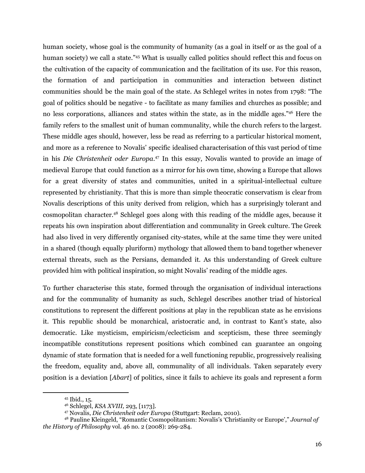human society, whose goal is the community of humanity (as a goal in itself or as the goal of a human society) we call a state."<sup>45</sup> What is usually called politics should reflect this and focus on the cultivation of the capacity of communication and the facilitation of its use. For this reason, the formation of and participation in communities and interaction between distinct communities should be the main goal of the state. As Schlegel writes in notes from 1798: "The goal of politics should be negative - to facilitate as many families and churches as possible; and no less corporations, alliances and states within the state, as in the middle ages." <sup>46</sup> Here the family refers to the smallest unit of human communality, while the church refers to the largest. These middle ages should, however, less be read as referring to a particular historical moment, and more as a reference to Novalis' specific idealised characterisation of this vast period of time in his *Die Christenheit oder Europa*. <sup>47</sup> In this essay, Novalis wanted to provide an image of medieval Europe that could function as a mirror for his own time, showing a Europe that allows for a great diversity of states and communities, united in a spiritual-intellectual culture represented by christianity. That this is more than simple theocratic conservatism is clear from Novalis descriptions of this unity derived from religion, which has a surprisingly tolerant and cosmopolitan character. <sup>48</sup> Schlegel goes along with this reading of the middle ages, because it repeats his own inspiration about differentiation and communality in Greek culture. The Greek had also lived in very differently organised city-states, while at the same time they were united in a shared (though equally pluriform) mythology that allowed them to band together whenever external threats, such as the Persians, demanded it. As this understanding of Greek culture provided him with political inspiration, so might Novalis' reading of the middle ages.

To further characterise this state, formed through the organisation of individual interactions and for the communality of humanity as such, Schlegel describes another triad of historical constitutions to represent the different positions at play in the republican state as he envisions it. This republic should be monarchical, aristocratic and, in contrast to Kant's state, also democratic. Like mysticism, empiricism/eclecticism and scepticism, these three seemingly incompatible constitutions represent positions which combined can guarantee an ongoing dynamic of state formation that is needed for a well functioning republic, progressively realising the freedom, equality and, above all, communality of all individuals. Taken separately every position is a deviation [*Abart*] of politics, since it fails to achieve its goals and represent a form

<sup>45</sup> Ibid., 15.

<sup>46</sup> Schlegel, *KSA XVIII,* 293, [1173].

<sup>47</sup> Novalis, *Die Christenheit oder Europa* (Stuttgart: Reclam, 2010)*.*

<sup>48</sup> Pauline Kleingeld, "Romantic Cosmopolitanism: Novalis's 'Christianity or Europe'," *Journal of the History of Philosophy* vol. 46 no. 2 (2008): 269-284.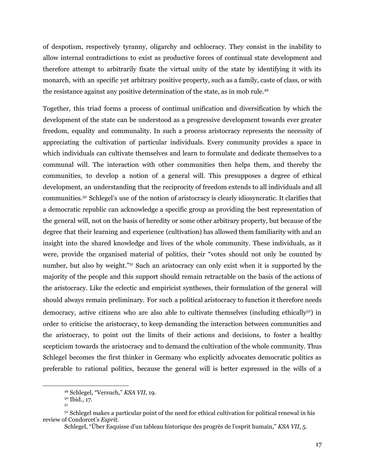of despotism, respectively tyranny, oligarchy and ochlocracy. They consist in the inability to allow internal contradictions to exist as productive forces of continual state development and therefore attempt to arbitrarily fixate the virtual unity of the state by identifying it with its monarch, with an specific yet arbitrary positive property, such as a family, caste of class, or with the resistance against any positive determination of the state, as in mob rule. 49

Together, this triad forms a process of continual unification and diversification by which the development of the state can be understood as a progressive development towards ever greater freedom, equality and communality. In such a process aristocracy represents the necessity of appreciating the cultivation of particular individuals. Every community provides a space in which individuals can cultivate themselves and learn to formulate and dedicate themselves to a communal will. The interaction with other communities then helps them, and thereby the communities, to develop a notion of a general will. This presupposes a degree of ethical development, an understanding that the reciprocity of freedom extends to all individuals and all communities. <sup>50</sup> Schlegel's use of the notion of aristocracy is clearly idiosyncratic. It clarifies that a democratic republic can acknowledge a specific group as providing the best representation of the general will, not on the basis of heredity or some other arbitrary property, but because of the degree that their learning and experience (cultivation) has allowed them familiarity with and an insight into the shared knowledge and lives of the whole community. These individuals, as it were, provide the organised material of politics, their "votes should not only be counted by number, but also by weight."<sup>51</sup> Such an aristocracy can only exist when it is supported by the majority of the people and this support should remain retractable on the basis of the actions of the aristocracy. Like the eclectic and empiricist syntheses, their formulation of the general will should always remain preliminary. For such a political aristocracy to function it therefore needs democracy, active citizens who are also able to cultivate themselves (including ethically<sup>52</sup>) in order to criticise the aristocracy, to keep demanding the interaction between communities and the aristocracy, to point out the limits of their actions and decisions, to foster a healthy scepticism towards the aristocracy and to demand the cultivation of the whole community. Thus Schlegel becomes the first thinker in Germany who explicitly advocates democratic politics as preferable to rational politics, because the general will is better expressed in the wills of a

<sup>49</sup> Schlegel, "Versuch," *KSA VII*, 19.

<sup>50</sup> Ibid., 17.

<sup>51</sup>

 $52$  Schlegel makes a particular point of the need for ethical cultivation for political renewal in his review of Condorcet's *Esprit.*

Schlegel, "Über Esquisse d'un tableau historique des progrès de l'esprit humain," *KSA VII*, 5.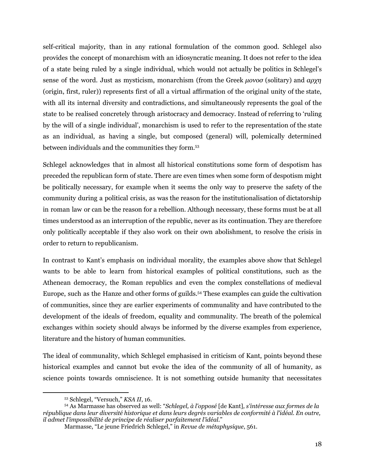self-critical majority, than in any rational formulation of the common good. Schlegel also provides the concept of monarchism with an idiosyncratic meaning. It does not refer to the idea of a state being ruled by a single individual, which would not actually be politics in Schlegel's sense of the word. Just as mysticism, monarchism (from the Greek *μονοσ* (solitary) and *αρχη* (origin, first, ruler)) represents first of all a virtual affirmation of the original unity of the state, with all its internal diversity and contradictions, and simultaneously represents the goal of the state to be realised concretely through aristocracy and democracy. Instead of referring to 'ruling by the will of a single individual', monarchism is used to refer to the representation of the state as an individual, as having a single, but composed (general) will, polemically determined between individuals and the communities they form. 53

Schlegel acknowledges that in almost all historical constitutions some form of despotism has preceded the republican form of state. There are even times when some form of despotism might be politically necessary, for example when it seems the only way to preserve the safety of the community during a political crisis, as was the reason for the institutionalisation of dictatorship in roman law or can be the reason for a rebellion. Although necessary, these forms must be at all times understood as an interruption of the republic, never as its continuation. They are therefore only politically acceptable if they also work on their own abolishment, to resolve the crisis in order to return to republicanism.

In contrast to Kant's emphasis on individual morality, the examples above show that Schlegel wants to be able to learn from historical examples of political constitutions, such as the Athenean democracy, the Roman republics and even the complex constellations of medieval Europe, such as the Hanze and other forms of guilds. <sup>54</sup> These examples can guide the cultivation of communities, since they are earlier experiments of communality and have contributed to the development of the ideals of freedom, equality and communality. The breath of the polemical exchanges within society should always be informed by the diverse examples from experience, literature and the history of human communities.

The ideal of communality, which Schlegel emphasised in criticism of Kant, points beyond these historical examples and cannot but evoke the idea of the community of all of humanity, as science points towards omniscience. It is not something outside humanity that necessitates

<sup>53</sup> Schlegel, "Versuch," *KSA II*, 16.

<sup>54</sup> As Marmasse has observed as well: "*Schlegel, à l'opposé* [de Kant]*, s'intéresse aux formes de la république dans leur diversité historique et dans leurs degrés variables de conformité à l'idéal. En outre, il admet l'impossibilité de principe de réaliser parfaitement l'idéal.*"

Marmasse, "Le jeune Friedrich Schlegel," in *Revue de métaphysique*, 561.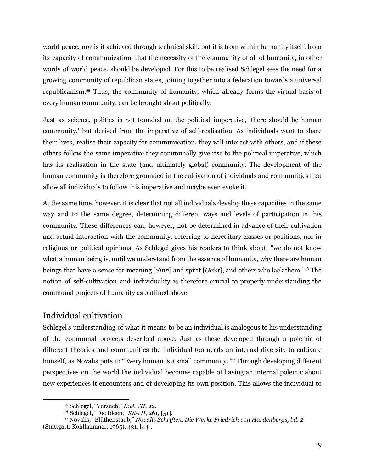world peace, nor is it achieved through technical skill, but it is from within humanity itself, from its capacity of communication, that the necessity of the community of all of humanity, in other words of world peace, should be developed. For this to be realised Schlegel sees the need for a growing community of republican states, joining together into a federation towards a universal republicanism. <sup>55</sup> Thus, the community of humanity, which already forms the virtual basis of every human community, can be brought about politically.

Just as science, politics is not founded on the political imperative, 'there should be human community,' but derived from the imperative of self-realisation. As individuals want to share their lives, realise their capacity for communication, they will interact with others, and if these others follow the same imperative they communally give rise to the political imperative, which has its realisation in the state (and ultimately global) community. The development of the human community is therefore grounded in the cultivation of individuals and communities that allow all individuals to follow this imperative and maybe even evoke it.

At the same time, however, it is clear that not all individuals develop these capacities in the same way and to the same degree, determining different ways and levels of participation in this community. These differences can, however, not be determined in advance of their cultivation and actual interaction with the community, referring to hereditary classes or positions, nor in religious or political opinions. As Schlegel gives his readers to think about: "we do not know what a human being is, until we understand from the essence of humanity, why there are human beings that have a sense for meaning [*Sinn*] and spirit [*Geist*], and others who lack them." <sup>56</sup> The notion of self-cultivation and individuality is therefore crucial to properly understanding the communal projects of humanity as outlined above.

#### Individual cultivation

Schlegel's understanding of what it means to be an individual is analogous to his understanding of the communal projects described above. Just as these developed through a polemic of different theories and communities the individual too needs an internal diversity to cultivate himself, as Novalis puts it: "Every human is a small community."<sup>57</sup> Through developing different perspectives on the world the individual becomes capable of having an internal polemic about new experiences it encounters and of developing its own position. This allows the individual to

<sup>55</sup> Schlegel, "Versuch," *KSA VII*, 22.

<sup>56</sup> Schlegel, "Die Ideen," *KSA II*, 261, [51].

<sup>57</sup> Novalis, "Blüthenstaub," *Novalis Schriften, Die Werke Friedrich von Hardenbergs, bd. 2* (Stuttgart: Kohlhammer, 1965), 431, [44].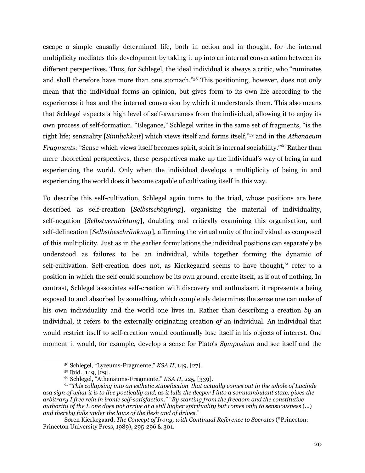escape a simple causally determined life, both in action and in thought, for the internal multiplicity mediates this development by taking it up into an internal conversation between its different perspectives. Thus, for Schlegel, the ideal individual is always a critic, who "ruminates and shall therefore have more than one stomach." <sup>58</sup> This positioning, however, does not only mean that the individual forms an opinion, but gives form to its own life according to the experiences it has and the internal conversion by which it understands them. This also means that Schlegel expects a high level of self-awareness from the individual, allowing it to enjoy its own process of self-formation. "Elegance," Schlegel writes in the same set of fragments, "is the right life; sensuality [*Sinnlichkeit*] which views itself and forms itself," <sup>59</sup> and in the *Athenaeum Fragments*: "Sense which views itself becomes spirit, spirit is internal sociability." <sup>60</sup> Rather than mere theoretical perspectives, these perspectives make up the individual's way of being in and experiencing the world. Only when the individual develops a multiplicity of being in and experiencing the world does it become capable of cultivating itself in this way.

To describe this self-cultivation, Schlegel again turns to the triad, whose positions are here described as self-creation [*Selbstschöpfung*], organising the material of individuality, self-negation [*Selbstvernichtung*], doubting and critically examining this organisation, and self-delineation [*Selbstbeschränkung*], affirming the virtual unity of the individual as composed of this multiplicity. Just as in the earlier formulations the individual positions can separately be understood as failures to be an individual, while together forming the dynamic of self-cultivation. Self-creation does not, as Kierkegaard seems to have thought,<sup>61</sup> refer to a position in which the self could somehow be its own ground, create itself, as if out of nothing. In contrast, Schlegel associates self-creation with discovery and enthusiasm, it represents a being exposed to and absorbed by something, which completely determines the sense one can make of his own individuality and the world one lives in. Rather than describing a creation *by* an individual, it refers to the externally originating creation *of* an individual. An individual that would restrict itself to self-creation would continually lose itself in his objects of interest. One moment it would, for example, develop a sense for Plato's *Symposium* and see itself and the

<sup>58</sup> Schlegel, "Lyceums-Fragmente," *KSA II*, 149, [27].

<sup>59</sup> Ibid., 149, [29].

<sup>60</sup> Schlegel, "Athenäums-Fragmente," *KSA II*, 225, [339].

<sup>61</sup> "*This collapsing into an esthetic stupefaction that actually comes out in the whole of Lucinde* asa sian of what it is to live poetically and, as it lulls the deeper I into a somnambulant state, gives the *arbitrary I free rein in ironic self-satisfaction.*" "*By starting from the freedom and the constitutive* authority of the I, one does not arrive at a still higher spirituality but comes only to sensuousness (...) *and thereby falls under the laws of the flesh and of drives.*"

Søren Kierkegaard, *The Concept of Irony, with Continual Reference to Socrates* (\*Princeton: Princeton University Press, 1989), 295-296 & 301.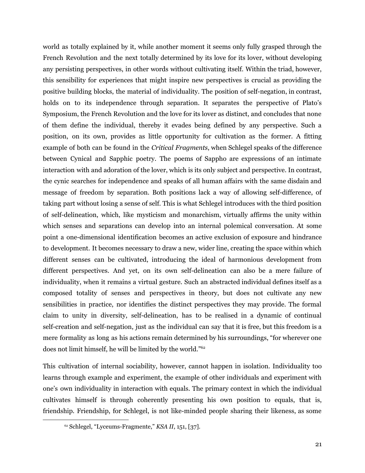world as totally explained by it, while another moment it seems only fully grasped through the French Revolution and the next totally determined by its love for its lover, without developing any persisting perspectives, in other words without cultivating itself. Within the triad, however, this sensibility for experiences that might inspire new perspectives is crucial as providing the positive building blocks, the material of individuality. The position of self-negation, in contrast, holds on to its independence through separation. It separates the perspective of Plato's Symposium, the French Revolution and the love for its lover as distinct, and concludes that none of them define the individual, thereby it evades being defined by any perspective. Such a position, on its own, provides as little opportunity for cultivation as the former. A fitting example of both can be found in the *Critical Fragments*, when Schlegel speaks of the difference between Cynical and Sapphic poetry. The poems of Sappho are expressions of an intimate interaction with and adoration of the lover, which is its only subject and perspective. In contrast, the cynic searches for independence and speaks of all human affairs with the same disdain and message of freedom by separation. Both positions lack a way of allowing self-difference, of taking part without losing a sense of self. This is what Schlegel introduces with the third position of self-delineation, which, like mysticism and monarchism, virtually affirms the unity within which senses and separations can develop into an internal polemical conversation. At some point a one-dimensional identification becomes an active exclusion of exposure and hindrance to development. It becomes necessary to draw a new, wider line, creating the space within which different senses can be cultivated, introducing the ideal of harmonious development from different perspectives. And yet, on its own self-delineation can also be a mere failure of individuality, when it remains a virtual gesture. Such an abstracted individual defines itself as a composed totality of senses and perspectives in theory, but does not cultivate any new sensibilities in practice, nor identifies the distinct perspectives they may provide. The formal claim to unity in diversity, self-delineation, has to be realised in a dynamic of continual self-creation and self-negation, just as the individual can say that it is free, but this freedom is a mere formality as long as his actions remain determined by his surroundings, "for wherever one does not limit himself, he will be limited by the world." 62

This cultivation of internal sociability, however, cannot happen in isolation. Individuality too learns through example and experiment, the example of other individuals and experiment with one's own individuality in interaction with equals. The primary context in which the individual cultivates himself is through coherently presenting his own position to equals, that is, friendship. Friendship, for Schlegel, is not like-minded people sharing their likeness, as some

<sup>62</sup> Schlegel, "Lyceums-Fragmente," *KSA II*, 151, [37].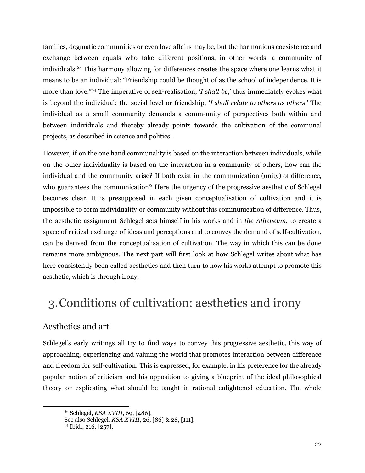families, dogmatic communities or even love affairs may be, but the harmonious coexistence and exchange between equals who take different positions, in other words, a community of individuals. <sup>63</sup> This harmony allowing for differences creates the space where one learns what it means to be an individual: "Friendship could be thought of as the school of independence. It is more than love." <sup>64</sup> The imperative of self-realisation, '*I shall be*,' thus immediately evokes what is beyond the individual: the social level or friendship, '*I shall relate to others as others*.' The individual as a small community demands a comm-unity of perspectives both within and between individuals and thereby already points towards the cultivation of the communal projects, as described in science and politics.

However, if on the one hand communality is based on the interaction between individuals, while on the other individuality is based on the interaction in a community of others, how can the individual and the community arise? If both exist in the communication (unity) of difference, who guarantees the communication? Here the urgency of the progressive aesthetic of Schlegel becomes clear. It is presupposed in each given conceptualisation of cultivation and it is impossible to form individuality or community without this communication of difference. Thus, the aesthetic assignment Schlegel sets himself in his works and in *the Atheneum*, to create a space of critical exchange of ideas and perceptions and to convey the demand of self-cultivation, can be derived from the conceptualisation of cultivation. The way in which this can be done remains more ambiguous. The next part will first look at how Schlegel writes about what has here consistently been called aesthetics and then turn to how his works attempt to promote this aesthetic, which is through irony.

# 3.Conditions of cultivation: aesthetics and irony

### Aesthetics and art

Schlegel's early writings all try to find ways to convey this progressive aesthetic, this way of approaching, experiencing and valuing the world that promotes interaction between difference and freedom for self-cultivation. This is expressed, for example, in his preference for the already popular notion of criticism and his opposition to giving a blueprint of the ideal philosophical theory or explicating what should be taught in rational enlightened education. The whole

<sup>63</sup> Schlegel, *KSA XVIII*, 69, [486].

See also Schlegel, *KSA XVIII*, 26, [86] & 28, [111].

<sup>64</sup> Ibid., 216, [257].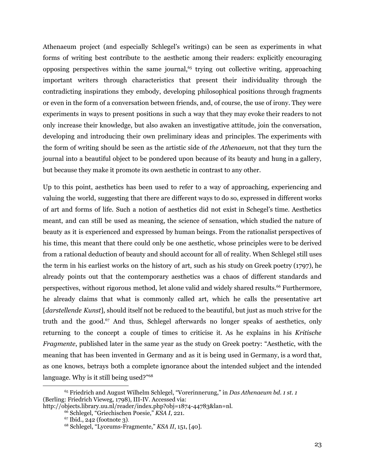Athenaeum project (and especially Schlegel's writings) can be seen as experiments in what forms of writing best contribute to the aesthetic among their readers: explicitly encouraging opposing perspectives within the same journal, 65 trying out collective writing, approaching important writers through characteristics that present their individuality through the contradicting inspirations they embody, developing philosophical positions through fragments or even in the form of a conversation between friends, and, of course, the use of irony. They were experiments in ways to present positions in such a way that they may evoke their readers to not only increase their knowledge, but also awaken an investigative attitude, join the conversation, developing and introducing their own preliminary ideas and principles. The experiments with the form of writing should be seen as the artistic side of *the Athenaeum*, not that they turn the journal into a beautiful object to be pondered upon because of its beauty and hung in a gallery, but because they make it promote its own aesthetic in contrast to any other.

Up to this point, aesthetics has been used to refer to a way of approaching, experiencing and valuing the world, suggesting that there are different ways to do so, expressed in different works of art and forms of life. Such a notion of aesthetics did not exist in Schegel's time. Aesthetics meant, and can still be used as meaning, the science of sensation, which studied the nature of beauty as it is experienced and expressed by human beings. From the rationalist perspectives of his time, this meant that there could only be one aesthetic, whose principles were to be derived from a rational deduction of beauty and should account for all of reality. When Schlegel still uses the term in his earliest works on the history of art, such as his study on Greek poetry (1797), he already points out that the contemporary aesthetics was a chaos of different standards and perspectives, without rigorous method, let alone valid and widely shared results. <sup>66</sup> Furthermore, he already claims that what is commonly called art, which he calls the presentative art [*darstellende Kunst*], should itself not be reduced to the beautiful, but just as much strive for the truth and the good. <sup>67</sup> And thus, Schlegel afterwards no longer speaks of aesthetics, only returning to the concept a couple of times to criticise it. As he explains in his *Kritische Fragmente*, published later in the same year as the study on Greek poetry: "Aesthetic, with the meaning that has been invented in Germany and as it is being used in Germany, is a word that, as one knows, betrays both a complete ignorance about the intended subject and the intended language. Why is it still being used?"<sup>68</sup>

<sup>65</sup> Friedrich and August Wilhelm Schlegel, "Vorerinnerung," in *Das Athenaeum bd. 1 st. 1* (Berling: Friedrich Vieweg, 1798), III-IV. Accessed via:

http://objects.library.uu.nl/reader/index.php?obj=1874-44783&lan=nl.

<sup>66</sup> Schlegel, "Griechischen Poesie," *KSA I*, 221.

<sup>67</sup> Ibid., 242 (footnote 3).

<sup>68</sup> Schlegel, "Lyceums-Fragmente," *KSA II*, 151, [40].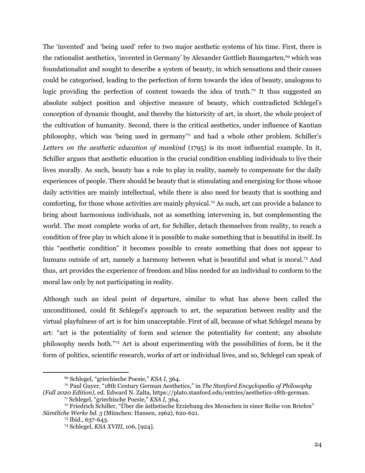The 'invented' and 'being used' refer to two major aesthetic systems of his time. First, there is the rationalist aesthetics, 'invented in Germany' by Alexander Gottlieb Baumgarten, <sup>69</sup> which was foundationalist and sought to describe a system of beauty, in which sensations and their causes could be categorised, leading to the perfection of form towards the idea of beauty, analogous to logic providing the perfection of content towards the idea of truth.<sup>70</sup> It thus suggested an absolute subject position and objective measure of beauty, which contradicted Schlegel's conception of dynamic thought, and thereby the historicity of art, in short, the whole project of the cultivation of humanity. Second, there is the critical aesthetics, under influence of Kantian philosophy, which was 'being used in germany' <sup>71</sup> and had a whole other problem. Schiller's *Letters on the aesthetic education of mankind* (1795) is its most influential example. In it, Schiller argues that aesthetic education is the crucial condition enabling individuals to live their lives morally. As such, beauty has a role to play in reality, namely to compensate for the daily experiences of people. There should be beauty that is stimulating and energising for those whose daily activities are mainly intellectual, while there is also need for beauty that is soothing and comforting, for those whose activities are mainly physical. <sup>72</sup> As such, art can provide a balance to bring about harmonious individuals, not as something intervening in, but complementing the world. The most complete works of art, for Schiller, detach themselves from reality, to reach a condition of free play in which alone it is possible to make something that is beautiful in itself. In this "aesthetic condition" it becomes possible to create something that does not appear to humans outside of art, namely a harmony between what is beautiful and what is moral.<sup>73</sup> And thus, art provides the experience of freedom and bliss needed for an individual to conform to the moral law only by not participating in reality.

Although such an ideal point of departure, similar to what has above been called the unconditioned, could fit Schlegel's approach to art, the separation between reality and the virtual playfulness of art is for him unacceptable. First of all, because of what Schlegel means by art: "art is the potentiality of form and science the potentiality for content; any absolute philosophy needs both." <sup>74</sup> Art is about experimenting with the possibilities of form, be it the form of politics, scientific research, works of art or individual lives, and so, Schlegel can speak of

<sup>69</sup> Schlegel, "griechische Poesie," *KSA I*, 364.

<sup>70</sup> Paul Guyer, "18th Century German Aesthetics," in *The Stanford Encyclopedia of Philosophy (Fall 2020 Edition)*, ed. Edward N. Zalta, https://plato.stanford.edu/entries/aesthetics-18th-german.

<sup>71</sup> Schlegel, "griechische Poesie," *KSA I*, 364.

<sup>72</sup> Friedrich Schiller, "Über die ästhetische Erziehung des Menschen in einer Reihe von Briefen" *Sämtliche Werke bd. 5* (München: Hansen, 1962), 620-621.

<sup>73</sup> Ibid., 637-643.

<sup>74</sup> Schlegel, *KSA XVIII*, 106, [924].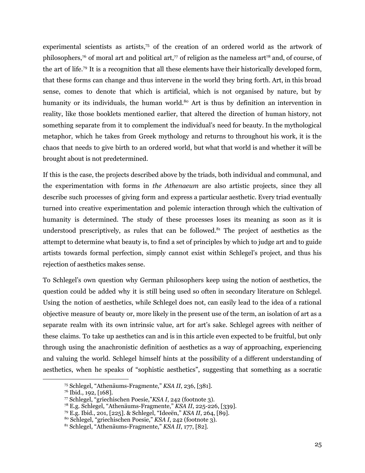experimental scientists as artists, <sup>75</sup> of the creation of an ordered world as the artwork of philosophers,<sup>76</sup> of moral art and political art,<sup>77</sup> of religion as the nameless art<sup>78</sup> and, of course, of the art of life. <sup>79</sup> It is a recognition that all these elements have their historically developed form, that these forms can change and thus intervene in the world they bring forth. Art, in this broad sense, comes to denote that which is artificial, which is not organised by nature, but by humanity or its individuals, the human world.<sup>80</sup> Art is thus by definition an intervention in reality, like those booklets mentioned earlier, that altered the direction of human history, not something separate from it to complement the individual's need for beauty. In the mythological metaphor, which he takes from Greek mythology and returns to throughout his work, it is the chaos that needs to give birth to an ordered world, but what that world is and whether it will be brought about is not predetermined.

If this is the case, the projects described above by the triads, both individual and communal, and the experimentation with forms in *the Athenaeum* are also artistic projects, since they all describe such processes of giving form and express a particular aesthetic. Every triad eventually turned into creative experimentation and polemic interaction through which the cultivation of humanity is determined. The study of these processes loses its meaning as soon as it is understood prescriptively, as rules that can be followed. <sup>81</sup> The project of aesthetics as the attempt to determine what beauty is, to find a set of principles by which to judge art and to guide artists towards formal perfection, simply cannot exist within Schlegel's project, and thus his rejection of aesthetics makes sense.

To Schlegel's own question why German philosophers keep using the notion of aesthetics, the question could be added why it is still being used so often in secondary literature on Schlegel. Using the notion of aesthetics, while Schlegel does not, can easily lead to the idea of a rational objective measure of beauty or, more likely in the present use of the term, an isolation of art as a separate realm with its own intrinsic value, art for art's sake. Schlegel agrees with neither of these claims. To take up aesthetics can and is in this article even expected to be fruitful, but only through using the anachronistic definition of aesthetics as a way of approaching, experiencing and valuing the world. Schlegel himself hints at the possibility of a different understanding of aesthetics, when he speaks of "sophistic aesthetics", suggesting that something as a socratic

<sup>75</sup> Schlegel, "Athenäums-Fragmente," *KSA II*, 236, [381].

<sup>76</sup> Ibid., 192, [168].

<sup>77</sup> Schlegel, "griechischen Poesie,"*KSA I*, 242 (footnote 3).

<sup>78</sup> E.g. Schlegel, "Athenäums-Fragmente," *KSA II*, 225-226, [339].

<sup>79</sup> E.g. Ibid., 201, [225]. & Schlegel, "Ideeën," *KSA II*, 264, [89].

<sup>80</sup> Schlegel, "griechischen Poesie," *KSA I*, 242 (footnote 3).

<sup>81</sup> Schlegel, "Athenäums-Fragmente," *KSA II*, 177, [82].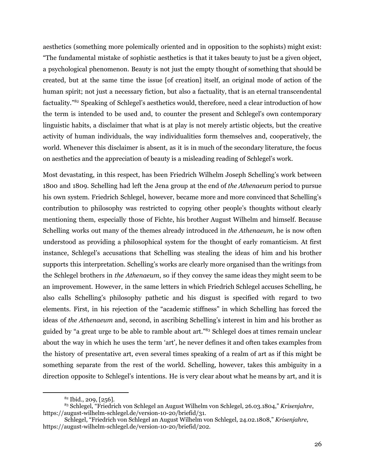aesthetics (something more polemically oriented and in opposition to the sophists) might exist: "The fundamental mistake of sophistic aesthetics is that it takes beauty to just be a given object, a psychological phenomenon. Beauty is not just the empty thought of something that should be created, but at the same time the issue [of creation] itself, an original mode of action of the human spirit; not just a necessary fiction, but also a factuality, that is an eternal transcendental factuality."<sup>82</sup> Speaking of Schlegel's aesthetics would, therefore, need a clear introduction of how the term is intended to be used and, to counter the present and Schlegel's own contemporary linguistic habits, a disclaimer that what is at play is not merely artistic objects, but the creative activity of human individuals, the way individualities form themselves and, cooperatively, the world. Whenever this disclaimer is absent, as it is in much of the secondary literature, the focus on aesthetics and the appreciation of beauty is a misleading reading of Schlegel's work.

Most devastating, in this respect, has been Friedrich Wilhelm Joseph Schelling's work between 1800 and 1809. Schelling had left the Jena group at the end of *the Athenaeum* period to pursue his own system. Friedrich Schlegel, however, became more and more convinced that Schelling's contribution to philosophy was restricted to copying other people's thoughts without clearly mentioning them, especially those of Fichte, his brother August Wilhelm and himself. Because Schelling works out many of the themes already introduced in *the Athenaeum*, he is now often understood as providing a philosophical system for the thought of early romanticism. At first instance, Schlegel's accusations that Schelling was stealing the ideas of him and his brother supports this interpretation. Schelling's works are clearly more organised than the writings from the Schlegel brothers in *the Athenaeum*, so if they convey the same ideas they might seem to be an improvement. However, in the same letters in which Friedrich Schlegel accuses Schelling, he also calls Schelling's philosophy pathetic and his disgust is specified with regard to two elements. First, in his rejection of the "academic stiffness" in which Schelling has forced the ideas of *the Athenaeum* and, second, in ascribing Schelling's interest in him and his brother as guided by "a great urge to be able to ramble about art." <sup>83</sup> Schlegel does at times remain unclear about the way in which he uses the term 'art', he never defines it and often takes examples from the history of presentative art, even several times speaking of a realm of art as if this might be something separate from the rest of the world. Schelling, however, takes this ambiguity in a direction opposite to Schlegel's intentions. He is very clear about what he means by art, and it is

 $82$  Ibid., 209, [256].

<sup>83</sup> Schlegel, "Friedrich von Schlegel an August Wilhelm von Schlegel, 26.03.1804," *Krisenjahre*, https://august-wilhelm-schlegel.de/version-10-20/briefid/31.

Schlegel, "Friedrich von Schlegel an August Wilhelm von Schlegel, 24.02.1808," *Krisenjahre*, https://august-wilhelm-schlegel.de/version-10-20/briefid/202.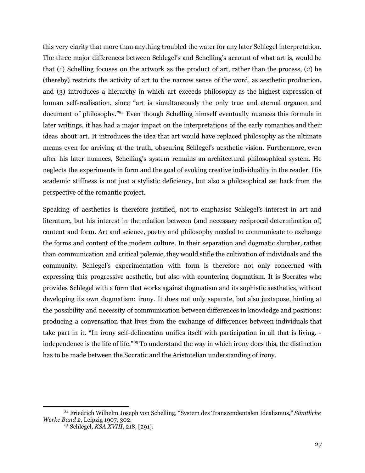this very clarity that more than anything troubled the water for any later Schlegel interpretation. The three major differences between Schlegel's and Schelling's account of what art is, would be that (1) Schelling focuses on the artwork as the product of art, rather than the process, (2) he (thereby) restricts the activity of art to the narrow sense of the word, as aesthetic production, and (3) introduces a hierarchy in which art exceeds philosophy as the highest expression of human self-realisation, since "art is simultaneously the only true and eternal organon and document of philosophy." <sup>84</sup> Even though Schelling himself eventually nuances this formula in later writings, it has had a major impact on the interpretations of the early romantics and their ideas about art. It introduces the idea that art would have replaced philosophy as the ultimate means even for arriving at the truth, obscuring Schlegel's aesthetic vision. Furthermore, even after his later nuances, Schelling's system remains an architectural philosophical system. He neglects the experiments in form and the goal of evoking creative individuality in the reader. His academic stiffness is not just a stylistic deficiency, but also a philosophical set back from the perspective of the romantic project.

Speaking of aesthetics is therefore justified, not to emphasise Schlegel's interest in art and literature, but his interest in the relation between (and necessary reciprocal determination of) content and form. Art and science, poetry and philosophy needed to communicate to exchange the forms and content of the modern culture. In their separation and dogmatic slumber, rather than communication and critical polemic, they would stifle the cultivation of individuals and the community. Schlegel's experimentation with form is therefore not only concerned with expressing this progressive aesthetic, but also with countering dogmatism. It is Socrates who provides Schlegel with a form that works against dogmatism and its sophistic aesthetics, without developing its own dogmatism: irony. It does not only separate, but also juxtapose, hinting at the possibility and necessity of communication between differences in knowledge and positions: producing a conversation that lives from the exchange of differences between individuals that take part in it. "In irony self-delineation unifies itself with participation in all that is living. independence is the life of life." <sup>85</sup> To understand the way in which irony does this, the distinction has to be made between the Socratic and the Aristotelian understanding of irony.

<sup>84</sup> Friedrich Wilhelm Joseph von Schelling, "System des Transzendentalen Idealismus," *Sämtliche Werke Band 2*, Leipzig 1907, 302.

<sup>85</sup> Schlegel, *KSA XVIII*, 218, [291].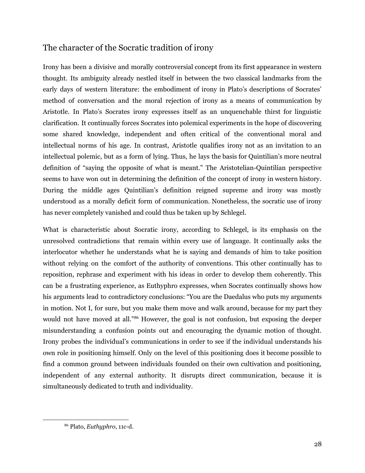### The character of the Socratic tradition of irony

Irony has been a divisive and morally controversial concept from its first appearance in western thought. Its ambiguity already nestled itself in between the two classical landmarks from the early days of western literature: the embodiment of irony in Plato's descriptions of Socrates' method of conversation and the moral rejection of irony as a means of communication by Aristotle. In Plato's Socrates irony expresses itself as an unquenchable thirst for linguistic clarification. It continually forces Socrates into polemical experiments in the hope of discovering some shared knowledge, independent and often critical of the conventional moral and intellectual norms of his age. In contrast, Aristotle qualifies irony not as an invitation to an intellectual polemic, but as a form of lying. Thus, he lays the basis for Quintilian's more neutral definition of "saying the opposite of what is meant." The Aristotelian-Quintilian perspective seems to have won out in determining the definition of the concept of irony in western history. During the middle ages Quintilian's definition reigned supreme and irony was mostly understood as a morally deficit form of communication. Nonetheless, the socratic use of irony has never completely vanished and could thus be taken up by Schlegel.

What is characteristic about Socratic irony, according to Schlegel, is its emphasis on the unresolved contradictions that remain within every use of language. It continually asks the interlocutor whether he understands what he is saying and demands of him to take position without relying on the comfort of the authority of conventions. This other continually has to reposition, rephrase and experiment with his ideas in order to develop them coherently. This can be a frustrating experience, as Euthyphro expresses, when Socrates continually shows how his arguments lead to contradictory conclusions: "You are the Daedalus who puts my arguments in motion. Not I, for sure, but you make them move and walk around, because for my part they would not have moved at all."<sup>86</sup> However, the goal is not confusion, but exposing the deeper misunderstanding a confusion points out and encouraging the dynamic motion of thought. Irony probes the individual's communications in order to see if the individual understands his own role in positioning himself. Only on the level of this positioning does it become possible to find a common ground between individuals founded on their own cultivation and positioning, independent of any external authority. It disrupts direct communication, because it is simultaneously dedicated to truth and individuality.

<sup>86</sup> Plato, *Euthyphro*, 11c-d.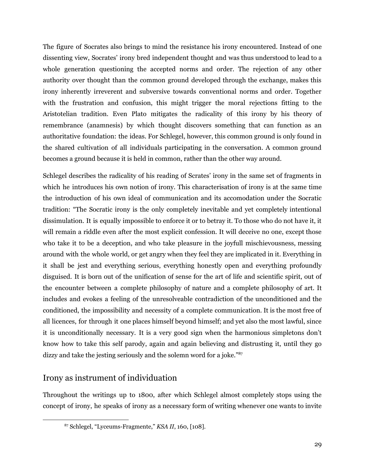The figure of Socrates also brings to mind the resistance his irony encountered. Instead of one dissenting view, Socrates' irony bred independent thought and was thus understood to lead to a whole generation questioning the accepted norms and order. The rejection of any other authority over thought than the common ground developed through the exchange, makes this irony inherently irreverent and subversive towards conventional norms and order. Together with the frustration and confusion, this might trigger the moral rejections fitting to the Aristotelian tradition. Even Plato mitigates the radicality of this irony by his theory of remembrance (anamnesis) by which thought discovers something that can function as an authoritative foundation: the ideas. For Schlegel, however, this common ground is only found in the shared cultivation of all individuals participating in the conversation. A common ground becomes a ground because it is held in common, rather than the other way around.

Schlegel describes the radicality of his reading of Scrates' irony in the same set of fragments in which he introduces his own notion of irony. This characterisation of irony is at the same time the introduction of his own ideal of communication and its accomodation under the Socratic tradition: "The Socratic irony is the only completely inevitable and yet completely intentional dissimulation. It is equally impossible to enforce it or to betray it. To those who do not have it, it will remain a riddle even after the most explicit confession. It will deceive no one, except those who take it to be a deception, and who take pleasure in the joyfull mischievousness, messing around with the whole world, or get angry when they feel they are implicated in it. Everything in it shall be jest and everything serious, everything honestly open and everything profoundly disguised. It is born out of the unification of sense for the art of life and scientific spirit, out of the encounter between a complete philosophy of nature and a complete philosophy of art. It includes and evokes a feeling of the unresolveable contradiction of the unconditioned and the conditioned, the impossibility and necessity of a complete communication. It is the most free of all licences, for through it one places himself beyond himself; and yet also the most lawful, since it is unconditionally necessary. It is a very good sign when the harmonious simpletons don't know how to take this self parody, again and again believing and distrusting it, until they go dizzy and take the jesting seriously and the solemn word for a joke." 87

### Irony as instrument of individuation

Throughout the writings up to 1800, after which Schlegel almost completely stops using the concept of irony, he speaks of irony as a necessary form of writing whenever one wants to invite

<sup>87</sup> Schlegel, "Lyceums-Fragmente," *KSA II*, 160, [108].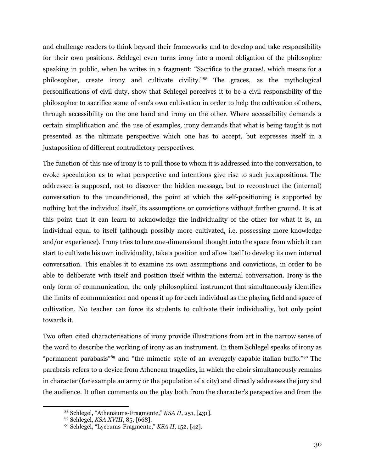and challenge readers to think beyond their frameworks and to develop and take responsibility for their own positions. Schlegel even turns irony into a moral obligation of the philosopher speaking in public, when he writes in a fragment: "Sacrifice to the graces!, which means for a philosopher, create irony and cultivate civility." <sup>88</sup> The graces, as the mythological personifications of civil duty, show that Schlegel perceives it to be a civil responsibility of the philosopher to sacrifice some of one's own cultivation in order to help the cultivation of others, through accessibility on the one hand and irony on the other. Where accessibility demands a certain simplification and the use of examples, irony demands that what is being taught is not presented as the ultimate perspective which one has to accept, but expresses itself in a juxtaposition of different contradictory perspectives.

The function of this use of irony is to pull those to whom it is addressed into the conversation, to evoke speculation as to what perspective and intentions give rise to such juxtapositions. The addressee is supposed, not to discover the hidden message, but to reconstruct the (internal) conversation to the unconditioned, the point at which the self-positioning is supported by nothing but the individual itself, its assumptions or convictions without further ground. It is at this point that it can learn to acknowledge the individuality of the other for what it is, an individual equal to itself (although possibly more cultivated, i.e. possessing more knowledge and/or experience). Irony tries to lure one-dimensional thought into the space from which it can start to cultivate his own individuality, take a position and allow itself to develop its own internal conversation. This enables it to examine its own assumptions and convictions, in order to be able to deliberate with itself and position itself within the external conversation. Irony is the only form of communication, the only philosophical instrument that simultaneously identifies the limits of communication and opens it up for each individual as the playing field and space of cultivation. No teacher can force its students to cultivate their individuality, but only point towards it.

Two often cited characterisations of irony provide illustrations from art in the narrow sense of the word to describe the working of irony as an instrument. In them Schlegel speaks of irony as "permanent parabasis"<sup>89</sup> and "the mimetic style of an averagely capable italian buffo."<sup>90</sup> The parabasis refers to a device from Athenean tragedies, in which the choir simultaneously remains in character (for example an army or the population of a city) and directly addresses the jury and the audience. It often comments on the play both from the character's perspective and from the

<sup>88</sup> Schlegel, "Athenäums-Fragmente," *KSA II*, 251, [431].

<sup>89</sup> Schlegel, *KSA XVIII*, 85, [668].

<sup>90</sup> Schlegel, "Lyceums-Fragmente," *KSA II*, 152, [42].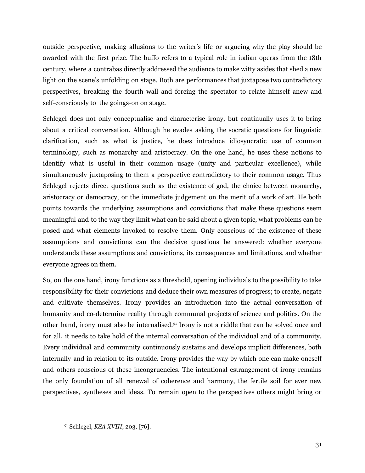outside perspective, making allusions to the writer's life or argueing why the play should be awarded with the first prize. The buffo refers to a typical role in italian operas from the 18th century, where a contrabas directly addressed the audience to make witty asides that shed a new light on the scene's unfolding on stage. Both are performances that juxtapose two contradictory perspectives, breaking the fourth wall and forcing the spectator to relate himself anew and self-consciously to the goings-on on stage.

Schlegel does not only conceptualise and characterise irony, but continually uses it to bring about a critical conversation. Although he evades asking the socratic questions for linguistic clarification, such as what is justice, he does introduce idiosyncratic use of common terminology, such as monarchy and aristocracy. On the one hand, he uses these notions to identify what is useful in their common usage (unity and particular excellence), while simultaneously juxtaposing to them a perspective contradictory to their common usage. Thus Schlegel rejects direct questions such as the existence of god, the choice between monarchy, aristocracy or democracy, or the immediate judgement on the merit of a work of art. He both points towards the underlying assumptions and convictions that make these questions seem meaningful and to the way they limit what can be said about a given topic, what problems can be posed and what elements invoked to resolve them. Only conscious of the existence of these assumptions and convictions can the decisive questions be answered: whether everyone understands these assumptions and convictions, its consequences and limitations, and whether everyone agrees on them.

So, on the one hand, irony functions as a threshold, opening individuals to the possibility to take responsibility for their convictions and deduce their own measures of progress; to create, negate and cultivate themselves. Irony provides an introduction into the actual conversation of humanity and co-determine reality through communal projects of science and politics. On the other hand, irony must also be internalised. <sup>91</sup> Irony is not a riddle that can be solved once and for all, it needs to take hold of the internal conversation of the individual and of a community. Every individual and community continuously sustains and develops implicit differences, both internally and in relation to its outside. Irony provides the way by which one can make oneself and others conscious of these incongruencies. The intentional estrangement of irony remains the only foundation of all renewal of coherence and harmony, the fertile soil for ever new perspectives, syntheses and ideas. To remain open to the perspectives others might bring or

<sup>91</sup> Schlegel, *KSA XVIII*, 203, [76].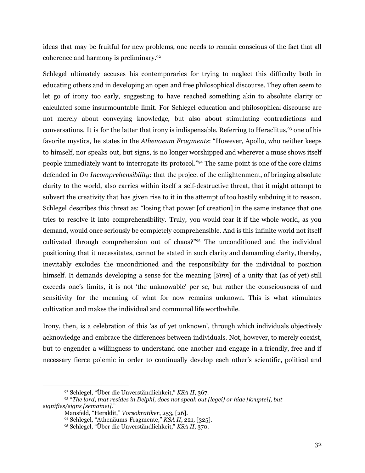ideas that may be fruitful for new problems, one needs to remain conscious of the fact that all coherence and harmony is preliminary. 92

Schlegel ultimately accuses his contemporaries for trying to neglect this difficulty both in educating others and in developing an open and free philosophical discourse. They often seem to let go of irony too early, suggesting to have reached something akin to absolute clarity or calculated some insurmountable limit. For Schlegel education and philosophical discourse are not merely about conveying knowledge, but also about stimulating contradictions and conversations. It is for the latter that irony is indispensable. Referring to Heraclitus, <sup>93</sup> one of his favorite mystics, he states in the *Athenaeum Fragments*: "However, Apollo, who neither keeps to himself, nor speaks out, but signs, is no longer worshipped and wherever a muse shows itself people immediately want to interrogate its protocol." <sup>94</sup> The same point is one of the core claims defended in *On Incomprehensibility*: that the project of the enlightenment, of bringing absolute clarity to the world, also carries within itself a self-destructive threat, that it might attempt to subvert the creativity that has given rise to it in the attempt of too hastily subduing it to reason. Schlegel describes this threat as: "losing that power [of creation] in the same instance that one tries to resolve it into comprehensibility. Truly, you would fear it if the whole world, as you demand, would once seriously be completely comprehensible. And is this infinite world not itself cultivated through comprehension out of chaos?" <sup>95</sup> The unconditioned and the individual positioning that it necessitates, cannot be stated in such clarity and demanding clarity, thereby, inevitably excludes the unconditioned and the responsibility for the individual to position himself. It demands developing a sense for the meaning [*Sinn*] of a unity that (as of yet) still exceeds one's limits, it is not 'the unknowable' per se, but rather the consciousness of and sensitivity for the meaning of what for now remains unknown. This is what stimulates cultivation and makes the individual and communal life worthwhile.

Irony, then, is a celebration of this 'as of yet unknown', through which individuals objectively acknowledge and embrace the differences between individuals. Not, however, to merely coexist, but to engender a willingness to understand one another and engage in a friendly, free and if necessary fierce polemic in order to continually develop each other's scientific, political and

<sup>92</sup> Schlegel, "Über die Unverständlichkeit," *KSA II*, 367.

<sup>93</sup> "*The lord, that resides in Delphi, does not speak out [legei] or hide [kruptei], but signifies/signs [semainei].*"

Mansfeld, "Heraklit," *Vorsokratiker*, 253, [26].

<sup>94</sup> Schlegel, "Athenäums-Fragmente," *KSA II*, 221, [325].

<sup>95</sup> Schlegel, "Über die Unverständlichkeit," *KSA II*, 370.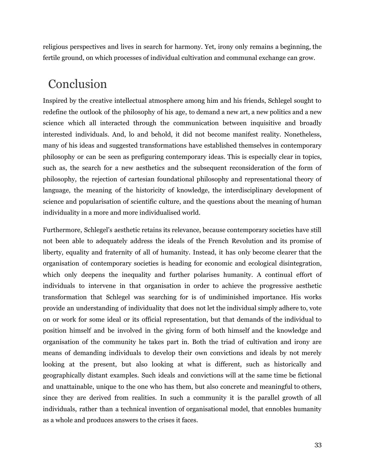religious perspectives and lives in search for harmony. Yet, irony only remains a beginning, the fertile ground, on which processes of individual cultivation and communal exchange can grow.

### Conclusion

Inspired by the creative intellectual atmosphere among him and his friends, Schlegel sought to redefine the outlook of the philosophy of his age, to demand a new art, a new politics and a new science which all interacted through the communication between inquisitive and broadly interested individuals. And, lo and behold, it did not become manifest reality. Nonetheless, many of his ideas and suggested transformations have established themselves in contemporary philosophy or can be seen as prefiguring contemporary ideas. This is especially clear in topics, such as, the search for a new aesthetics and the subsequent reconsideration of the form of philosophy, the rejection of cartesian foundational philosophy and representational theory of language, the meaning of the historicity of knowledge, the interdisciplinary development of science and popularisation of scientific culture, and the questions about the meaning of human individuality in a more and more individualised world.

Furthermore, Schlegel's aesthetic retains its relevance, because contemporary societies have still not been able to adequately address the ideals of the French Revolution and its promise of liberty, equality and fraternity of all of humanity. Instead, it has only become clearer that the organisation of contemporary societies is heading for economic and ecological disintegration, which only deepens the inequality and further polarises humanity. A continual effort of individuals to intervene in that organisation in order to achieve the progressive aesthetic transformation that Schlegel was searching for is of undiminished importance. His works provide an understanding of individuality that does not let the individual simply adhere to, vote on or work for some ideal or its official representation, but that demands of the individual to position himself and be involved in the giving form of both himself and the knowledge and organisation of the community he takes part in. Both the triad of cultivation and irony are means of demanding individuals to develop their own convictions and ideals by not merely looking at the present, but also looking at what is different, such as historically and geographically distant examples. Such ideals and convictions will at the same time be fictional and unattainable, unique to the one who has them, but also concrete and meaningful to others, since they are derived from realities. In such a community it is the parallel growth of all individuals, rather than a technical invention of organisational model, that ennobles humanity as a whole and produces answers to the crises it faces.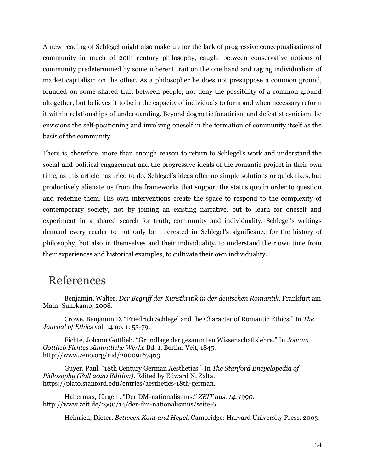A new reading of Schlegel might also make up for the lack of progressive conceptualisations of community in much of 20th century philosophy, caught between conservative notions of community predetermined by some inherent trait on the one hand and raging individualism of market capitalism on the other. As a philosopher he does not presuppose a common ground, founded on some shared trait between people, nor deny the possibility of a common ground altogether, but believes it to be in the capacity of individuals to form and when necessary reform it within relationships of understanding. Beyond dogmatic fanaticism and defeatist cynicism, he envisions the self-positioning and involving oneself in the formation of community itself as the basis of the community.

There is, therefore, more than enough reason to return to Schlegel's work and understand the social and political engagement and the progressive ideals of the romantic project in their own time, as this article has tried to do. Schlegel's ideas offer no simple solutions or quick fixes, but productively alienate us from the frameworks that support the status quo in order to question and redefine them. His own interventions create the space to respond to the complexity of contemporary society, not by joining an existing narrative, but to learn for oneself and experiment in a shared search for truth, community and individuality. Schlegel's writings demand every reader to not only be interested in Schlegel's significance for the history of philosophy, but also in themselves and their individuality, to understand their own time from their experiences and historical examples, to cultivate their own individuality.

### References

Benjamin, Walter. *Der Begrif der Kunstkritik in der deutschen Romantik*. Frankfurt am Main: Suhrkamp, 2008.

Crowe, Benjamin D. "Friedrich Schlegel and the Character of Romantic Ethics." In *The Journal of Ethics* vol. 14 no. 1: 53-79.

Fichte, Johann Gottlieb. "Grundlage der gesammten Wissenschaftslehre." In *Johann Gottlieb Fichtes sämmtliche Werke* Bd. 1. Berlin: Veit, 1845. http://www.zeno.org/nid/20009167463.

Guyer, Paul. "18th Century German Aesthetics." In *The Stanford Encyclopedia of Philosophy (Fall 2020 Edition)*. Edited by Edward N. Zalta. https://plato.stanford.edu/entries/aesthetics-18th-german.

Habermas, Jürgen . "Der DM-nationalismus." *ZEIT aus. 14*, *1990*. http://www.zeit.de/1990/14/der-dm-nationalismus/seite-6.

Heinrich, Dieter. *Between Kant and Hegel*. Cambridge: Harvard University Press, 2003.